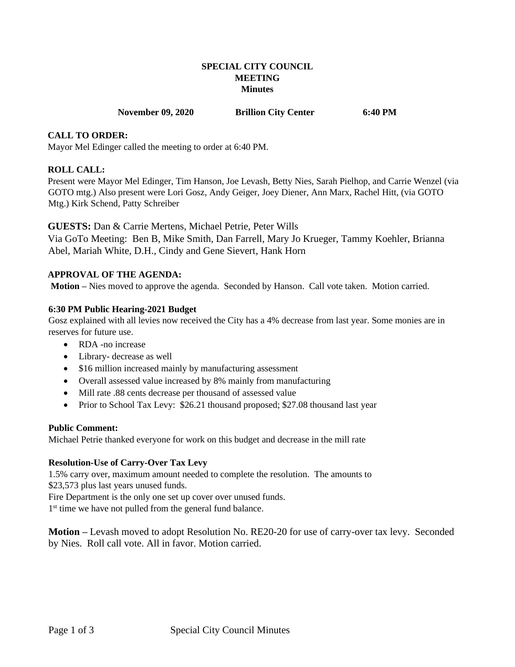## **SPECIAL CITY COUNCIL MEETING Minutes**

#### **November 09, 2020 Brillion City Center 6:40 PM**

#### **CALL TO ORDER:**

Mayor Mel Edinger called the meeting to order at 6:40 PM.

#### **ROLL CALL:**

Present were Mayor Mel Edinger, Tim Hanson, Joe Levash, Betty Nies, Sarah Pielhop, and Carrie Wenzel (via GOTO mtg.) Also present were Lori Gosz, Andy Geiger, Joey Diener, Ann Marx, Rachel Hitt, (via GOTO Mtg.) Kirk Schend, Patty Schreiber

#### **GUESTS:** Dan & Carrie Mertens, Michael Petrie, Peter Wills

Via GoTo Meeting: Ben B, Mike Smith, Dan Farrell, Mary Jo Krueger, Tammy Koehler, Brianna Abel, Mariah White, D.H., Cindy and Gene Sievert, Hank Horn

#### **APPROVAL OF THE AGENDA:**

**Motion –** Nies moved to approve the agenda. Seconded by Hanson. Call vote taken. Motion carried.

#### **6:30 PM Public Hearing-2021 Budget**

Gosz explained with all levies now received the City has a 4% decrease from last year. Some monies are in reserves for future use.

- RDA -no increase
- Library- decrease as well
- \$16 million increased mainly by manufacturing assessment
- Overall assessed value increased by 8% mainly from manufacturing
- Mill rate .88 cents decrease per thousand of assessed value
- Prior to School Tax Levy: \$26.21 thousand proposed; \$27.08 thousand last year

#### **Public Comment:**

Michael Petrie thanked everyone for work on this budget and decrease in the mill rate

#### **Resolution-Use of Carry-Over Tax Levy**

1.5% carry over, maximum amount needed to complete the resolution. The amounts to \$23,573 plus last years unused funds.

Fire Department is the only one set up cover over unused funds.

1<sup>st</sup> time we have not pulled from the general fund balance.

**Motion –** Levash moved to adopt Resolution No. RE20-20 for use of carry-over tax levy. Seconded by Nies. Roll call vote. All in favor. Motion carried.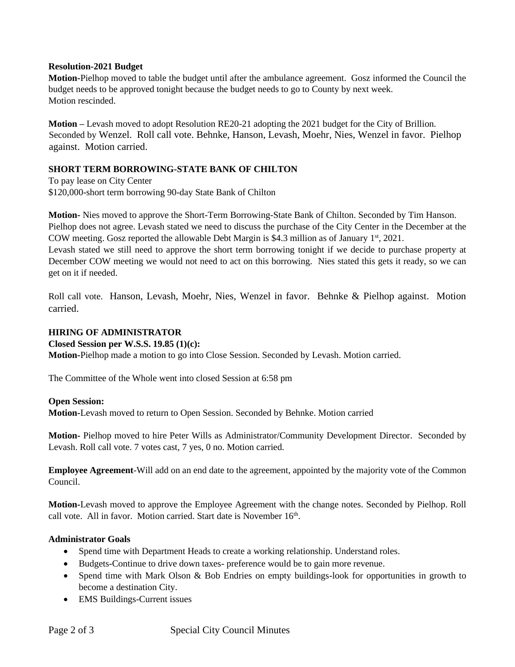#### **Resolution-2021 Budget**

**Motion-**Pielhop moved to table the budget until after the ambulance agreement. Gosz informed the Council the budget needs to be approved tonight because the budget needs to go to County by next week. Motion rescinded.

**Motion –** Levash moved to adopt Resolution RE20-21 adopting the 2021 budget for the City of Brillion. Seconded by Wenzel. Roll call vote. Behnke, Hanson, Levash, Moehr, Nies, Wenzel in favor. Pielhop against. Motion carried.

# **SHORT TERM BORROWING-STATE BANK OF CHILTON**

To pay lease on City Center \$120,000-short term borrowing 90-day State Bank of Chilton

**Motion-** Nies moved to approve the Short-Term Borrowing-State Bank of Chilton. Seconded by Tim Hanson. Pielhop does not agree. Levash stated we need to discuss the purchase of the City Center in the December at the COW meeting. Gosz reported the allowable Debt Margin is \$4.3 million as of January  $1<sup>st</sup>$ , 2021.

Levash stated we still need to approve the short term borrowing tonight if we decide to purchase property at December COW meeting we would not need to act on this borrowing. Nies stated this gets it ready, so we can get on it if needed.

Roll call vote. Hanson, Levash, Moehr, Nies, Wenzel in favor. Behnke & Pielhop against. Motion carried.

## **HIRING OF ADMINISTRATOR**

#### **Closed Session per W.S.S. 19.85 (1)(c):**

**Motion-**Pielhop made a motion to go into Close Session. Seconded by Levash. Motion carried.

The Committee of the Whole went into closed Session at 6:58 pm

#### **Open Session:**

**Motion-**Levash moved to return to Open Session. Seconded by Behnke. Motion carried

**Motion-** Pielhop moved to hire Peter Wills as Administrator/Community Development Director. Seconded by Levash. Roll call vote. 7 votes cast, 7 yes, 0 no. Motion carried.

**Employee Agreement**-Will add on an end date to the agreement, appointed by the majority vote of the Common Council.

**Motion-**Levash moved to approve the Employee Agreement with the change notes. Seconded by Pielhop. Roll call vote. All in favor. Motion carried. Start date is November 16th.

# **Administrator Goals**

- Spend time with Department Heads to create a working relationship. Understand roles.
- Budgets-Continue to drive down taxes- preference would be to gain more revenue.
- Spend time with Mark Olson & Bob Endries on empty buildings-look for opportunities in growth to become a destination City.
- EMS Buildings-Current issues